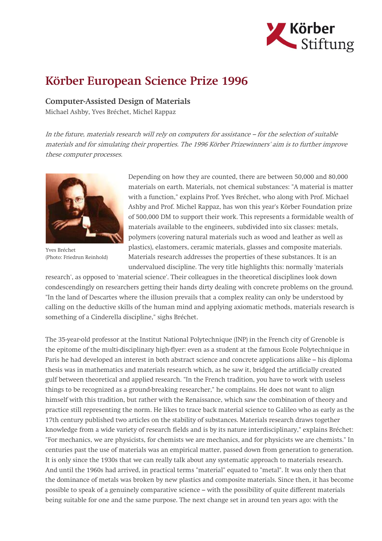

## Körber European Science Prize 1996

## Computer-Assisted Design of Materials

Michael Ashby, Yves Bréchet, Michel Rappaz

In the future, materials research will rely on computers for assistance – for the selection of suitable materials and for simulating their properties. The 1996 Körber Prizewinners' aim is to further improve these computer processes.



Yves Bréchet (Photo: Friedrun Reinhold)

Depending on how they are counted, there are between 50,000 and 80,000 materials on earth. Materials, not chemical substances: "A material is matter with a function," explains Prof. Yves Bréchet, who along with Prof. Michael Ashby and Prof. Michel Rappaz, has won this year's Körber Foundation prize of 500,000 DM to support their work. This represents a formidable wealth of materials available to the engineers, subdivided into six classes: metals, polymers (covering natural materials such as wood and leather as well as plastics), elastomers, ceramic materials, glasses and composite materials. Materials research addresses the properties of these substances. It is an undervalued discipline. The very title highlights this: normally 'materials

research', as opposed to 'material science'. Their colleagues in the theoretical disciplines look down condescendingly on researchers getting their hands dirty dealing with concrete problems on the ground. "In the land of Descartes where the illusion prevails that a complex reality can only be understood by calling on the deductive skills of the human mind and applying axiomatic methods, materials research is something of a Cinderella discipline," sighs Bréchet.

The 35-year-old professor at the Institut National Polytechnique (INP) in the French city of Grenoble is the epitome of the multi-disciplinary high-flyer: even as a student at the famous Ecole Polytechnique in Paris he had developed an interest in both abstract science and concrete applications alike – his diploma thesis was in mathematics and materials research which, as he saw it, bridged the artificially created gulf between theoretical and applied research. "In the French tradition, you have to work with useless things to be recognized as a ground-breaking researcher," he complains. He does not want to align himself with this tradition, but rather with the Renaissance, which saw the combination of theory and practice still representing the norm. He likes to trace back material science to Galileo who as early as the 17th century published two articles on the stability of substances. Materials research draws together knowledge from a wide variety of research fields and is by its nature interdisciplinary," explains Bréchet: "For mechanics, we are physicists, for chemists we are mechanics, and for physicists we are chemists." In centuries past the use of materials was an empirical matter, passed down from generation to generation. It is only since the 1930s that we can really talk about any systematic approach to materials research. And until the 1960s had arrived, in practical terms "material" equated to "metal". It was only then that the dominance of metals was broken by new plastics and composite materials. Since then, it has become possible to speak of a genuinely comparative science – with the possibility of quite different materials being suitable for one and the same purpose. The next change set in around ten years ago: with the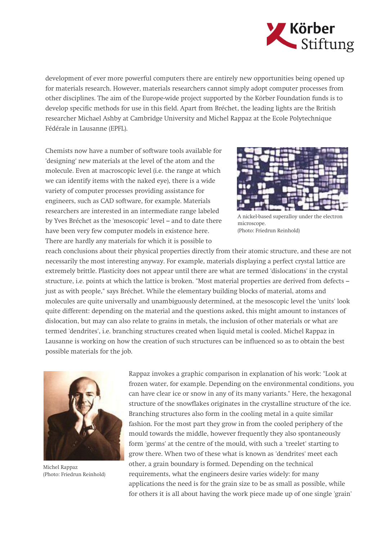

development of ever more powerful computers there are entirely new opportunities being opened up for materials research. However, materials researchers cannot simply adopt computer processes from other disciplines. The aim of the Europe-wide project supported by the Körber Foundation funds is to develop specific methods for use in this field. Apart from Bréchet, the leading lights are the British researcher Michael Ashby at Cambridge University and Michel Rappaz at the Ecole Polytechnique Fédérale in Lausanne (EPFL).

Chemists now have a number of software tools available for 'designing' new materials at the level of the atom and the molecule. Even at macroscopic level (i.e. the range at which we can identify items with the naked eye), there is a wide variety of computer processes providing assistance for engineers, such as CAD software, for example. Materials researchers are interested in an intermediate range labeled by Yves Bréchet as the 'mesoscopic' level – and to date there have been very few computer models in existence here. There are hardly any materials for which it is possible to



A nickel-based superalloy under the electron microscope. (Photo: Friedrun Reinhold)

reach conclusions about their physical properties directly from their atomic structure, and these are not necessarily the most interesting anyway. For example, materials displaying a perfect crystal lattice are extremely brittle. Plasticity does not appear until there are what are termed 'dislocations' in the crystal structure, i.e. points at which the lattice is broken. "Most material properties are derived from defects – just as with people," says Bréchet. While the elementary building blocks of material, atoms and molecules are quite universally and unambiguously determined, at the mesoscopic level the 'units' look quite different: depending on the material and the questions asked, this might amount to instances of dislocation, but may can also relate to grains in metals, the inclusion of other materials or what are termed 'dendrites', i.e. branching structures created when liquid metal is cooled. Michel Rappaz in Lausanne is working on how the creation of such structures can be influenced so as to obtain the best possible materials for the job.



Michel Rappaz (Photo: Friedrun Reinhold)

Rappaz invokes a graphic comparison in explanation of his work: "Look at frozen water, for example. Depending on the environmental conditions, you can have clear ice or snow in any of its many variants." Here, the hexagonal structure of the snowflakes originates in the crystalline structure of the ice. Branching structures also form in the cooling metal in a quite similar fashion. For the most part they grow in from the cooled periphery of the mould towards the middle, however frequently they also spontaneously form 'germs' at the centre of the mould, with such a 'treelet' starting to grow there. When two of these what is known as 'dendrites' meet each other, a grain boundary is formed. Depending on the technical requirements, what the engineers desire varies widely: for many applications the need is for the grain size to be as small as possible, while for others it is all about having the work piece made up of one single 'grain'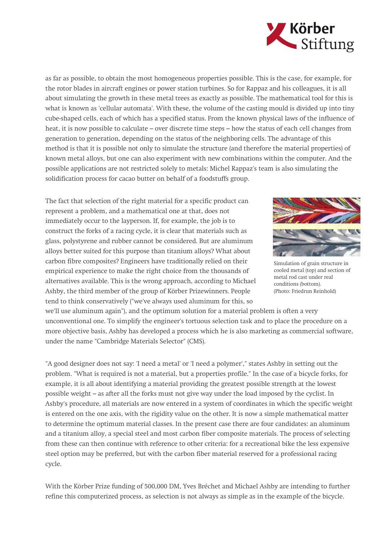

as far as possible, to obtain the most homogeneous properties possible. This is the case, for example, for the rotor blades in aircraft engines or power station turbines. So for Rappaz and his colleagues, it is all about simulating the growth in these metal trees as exactly as possible. The mathematical tool for this is what is known as 'cellular automata'. With these, the volume of the casting mould is divided up into tiny cube-shaped cells, each of which has a specified status. From the known physical laws of the influence of heat, it is now possible to calculate – over discrete time steps – how the status of each cell changes from generation to generation, depending on the status of the neighboring cells. The advantage of this method is that it is possible not only to simulate the structure (and therefore the material properties) of known metal alloys, but one can also experiment with new combinations within the computer. And the possible applications are not restricted solely to metals: Michel Rappaz's team is also simulating the solidification process for cacao butter on behalf of a foodstuffs group.

The fact that selection of the right material for a specific product can represent a problem, and a mathematical one at that, does not immediately occur to the layperson. If, for example, the job is to construct the forks of a racing cycle, it is clear that materials such as glass, polystyrene and rubber cannot be considered. But are aluminum alloys better suited for this purpose than titanium alloys? What about carbon fibre composites? Engineers have traditionally relied on their empirical experience to make the right choice from the thousands of alternatives available. This is the wrong approach, according to Michael Ashby, the third member of the group of Körber Prizewinners. People tend to think conservatively ("we've always used aluminum for this, so



Simulation of grain structure in cooled metal (top) and section of metal rod cast under real conditions (bottom). (Photo: Friedrun Reinhold)

we'll use aluminum again"), and the optimum solution for a material problem is often a very unconventional one. To simplify the engineer's tortuous selection task and to place the procedure on a more objective basis, Ashby has developed a process which he is also marketing as commercial software, under the name "Cambridge Materials Selector" (CMS).

"A good designer does not say: 'I need a metal' or 'I need a polymer'," states Ashby in setting out the problem. "What is required is not a material, but a properties profile." In the case of a bicycle forks, for example, it is all about identifying a material providing the greatest possible strength at the lowest possible weight – as after all the forks must not give way under the load imposed by the cyclist. In Ashby's procedure, all materials are now entered in a system of coordinates in which the specific weight is entered on the one axis, with the rigidity value on the other. It is now a simple mathematical matter to determine the optimum material classes. In the present case there are four candidates: an aluminum and a titanium alloy, a special steel and most carbon fiber composite materials. The process of selecting from these can then continue with reference to other criteria: for a recreational bike the less expensive steel option may be preferred, but with the carbon fiber material reserved for a professional racing cycle.

With the Körber Prize funding of 500,000 DM, Yves Bréchet and Michael Ashby are intending to further refine this computerized process, as selection is not always as simple as in the example of the bicycle.